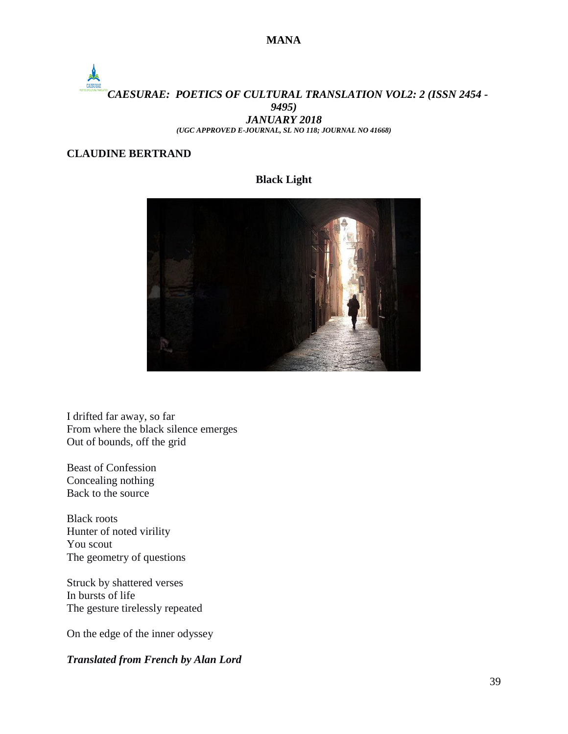#### **MANA**

# *CAESURAE: POETICS OF CULTURAL TRANSLATION VOL2: 2 (ISSN 2454 - 9495) JANUARY 2018*

*(UGC APPROVED E-JOURNAL, SL NO 118; JOURNAL NO 41668)*

### **CLAUDINE BERTRAND**

#### **Black Light**



I drifted far away, so far From where the black silence emerges Out of bounds, off the grid

Beast of Confession Concealing nothing Back to the source

Black roots Hunter of noted virility You scout The geometry of questions

Struck by shattered verses In bursts of life The gesture tirelessly repeated

On the edge of the inner odyssey

#### *Translated from French by Alan Lord*